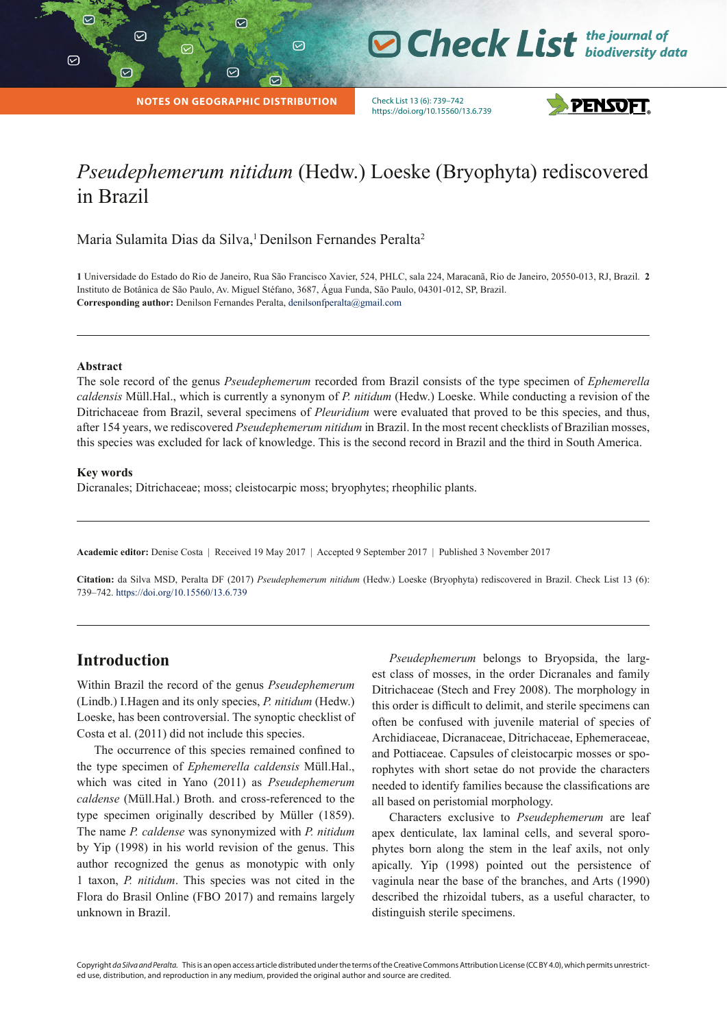$\overline{v}$ 

 $\heartsuit$ 

**O Check List** the journal of

**NOTES ON GEOGRAPHIC DISTRIBUTION**

 $\varpi$ 

 $\odot$ 

 $\heartsuit$ 

Check List 13 (6): 739–742 https://doi.org/10.15560/13.6.739



# *Pseudephemerum nitidum* (Hedw.) Loeske (Bryophyta) rediscovered in Brazil

Maria Sulamita Dias da Silva,<sup>1</sup> Denilson Fernandes Peralta<sup>2</sup>

**1** Universidade do Estado do Rio de Janeiro, Rua São Francisco Xavier, 524, PHLC, sala 224, Maracanã, Rio de Janeiro, 20550-013, RJ, Brazil. **2**  Instituto de Botânica de São Paulo, Av. Miguel Stéfano, 3687, Água Funda, São Paulo, 04301-012, SP, Brazil. **Corresponding author:** Denilson Fernandes Peralta, denilsonfperalta@gmail.com

#### **Abstract**

The sole record of the genus *Pseudephemerum* recorded from Brazil consists of the type specimen of *Ephemerella caldensis* Müll.Hal., which is currently a synonym of *P. nitidum* (Hedw.) Loeske. While conducting a revision of the Ditrichaceae from Brazil, several specimens of *Pleuridium* were evaluated that proved to be this species, and thus, after 154 years, we rediscovered *Pseudephemerum nitidum* in Brazil. In the most recent checklists of Brazilian mosses, this species was excluded for lack of knowledge. This is the second record in Brazil and the third in South America.

#### **Key words**

Dicranales; Ditrichaceae; moss; cleistocarpic moss; bryophytes; rheophilic plants.

**Academic editor:** Denise Costa | Received 19 May 2017 | Accepted 9 September 2017 | Published 3 November 2017

**Citation:** da Silva MSD, Peralta DF (2017) *Pseudephemerum nitidum* (Hedw.) Loeske (Bryophyta) rediscovered in Brazil. Check List 13 (6): 739–742. <https://doi.org/10.15560/13.6.739>

### **Introduction**

Within Brazil the record of the genus *Pseudephemerum* (Lindb.) I.Hagen and its only species, *P. nitidum* (Hedw.) Loeske, has been controversial. The synoptic checklist of Costa et al. (2011) did not include this species.

The occurrence of this species remained confined to the type specimen of *Ephemerella caldensis* Müll.Hal., which was cited in Yano (2011) as *Pseudephemerum caldense* (Müll.Hal.) Broth. and cross-referenced to the type specimen originally described by Müller (1859). The name *P. caldense* was synonymized with *P. nitidum* by Yip (1998) in his world revision of the genus. This author recognized the genus as monotypic with only 1 taxon, *P. nitidum*. This species was not cited in the Flora do Brasil Online (FBO 2017) and remains largely unknown in Brazil.

*Pseudephemerum* belongs to Bryopsida, the largest class of mosses, in the order Dicranales and family Ditrichaceae (Stech and Frey 2008). The morphology in this order is difficult to delimit, and sterile specimens can often be confused with juvenile material of species of Archidiaceae, Dicranaceae, Ditrichaceae, Ephemeraceae, and Pottiaceae. Capsules of cleistocarpic mosses or sporophytes with short setae do not provide the characters needed to identify families because the classifications are all based on peristomial morphology.

Characters exclusive to *Pseudephemerum* are leaf apex denticulate, lax laminal cells, and several sporophytes born along the stem in the leaf axils, not only apically. Yip (1998) pointed out the persistence of vaginula near the base of the branches, and Arts (1990) described the rhizoidal tubers, as a useful character, to distinguish sterile specimens.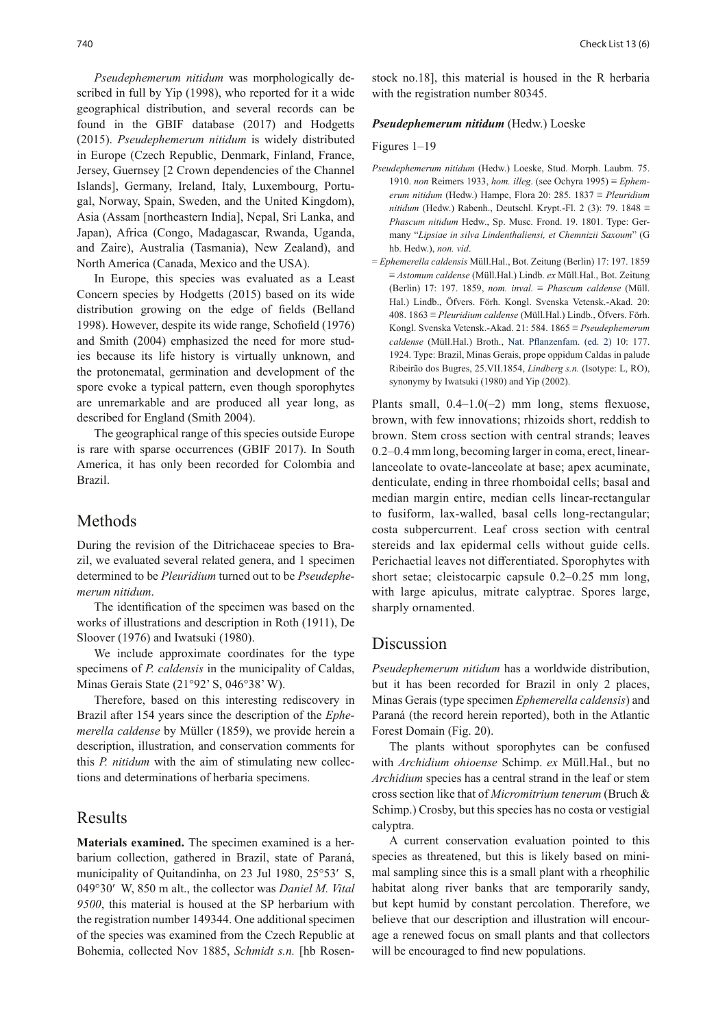*Pseudephemerum nitidum* was morphologically described in full by Yip (1998), who reported for it a wide geographical distribution, and several records can be found in the GBIF database (2017) and Hodgetts (2015). *Pseudephemerum nitidum* is widely distributed in Europe (Czech Republic, Denmark, Finland, France, Jersey, Guernsey [2 Crown dependencies of the Channel Islands], Germany, Ireland, Italy, Luxembourg, Portugal, Norway, Spain, Sweden, and the United Kingdom), Asia (Assam [northeastern India], Nepal, Sri Lanka, and Japan), Africa (Congo, Madagascar, Rwanda, Uganda, and Zaire), Australia (Tasmania), New Zealand), and North America (Canada, Mexico and the USA).

In Europe, this species was evaluated as a Least Concern species by Hodgetts (2015) based on its wide distribution growing on the edge of fields (Belland 1998). However, despite its wide range, Schofield (1976) and Smith (2004) emphasized the need for more studies because its life history is virtually unknown, and the protonematal, germination and development of the spore evoke a typical pattern, even though sporophytes are unremarkable and are produced all year long, as described for England (Smith 2004).

The geographical range of this species outside Europe is rare with sparse occurrences (GBIF 2017). In South America, it has only been recorded for Colombia and Brazil.

### Methods

During the revision of the Ditrichaceae species to Brazil, we evaluated several related genera, and 1 specimen determined to be *Pleuridium* turned out to be *Pseudephemerum nitidum*.

The identification of the specimen was based on the works of illustrations and description in Roth (1911), De Sloover (1976) and Iwatsuki (1980).

We include approximate coordinates for the type specimens of *P. caldensis* in the municipality of Caldas, Minas Gerais State (21°92' S, 046°38' W).

Therefore, based on this interesting rediscovery in Brazil after 154 years since the description of the *Ephemerella caldense* by Müller (1859), we provide herein a description, illustration, and conservation comments for this *P. nitidum* with the aim of stimulating new collections and determinations of herbaria specimens.

### Results

**Materials examined.** The specimen examined is a herbarium collection, gathered in Brazil, state of Paraná, municipality of Quitandinha, on 23 Jul 1980, 25°53′ S, 049°30′ W, 850 m alt., the collector was *Daniel M. Vital 9500*, this material is housed at the SP herbarium with the registration number 149344. One additional specimen of the species was examined from the Czech Republic at Bohemia, collected Nov 1885, *Schmidt s.n.* [hb Rosen-

stock no.18], this material is housed in the R herbaria with the registration number 80345.

#### *Pseudephemerum nitidum* (Hedw.) Loeske

#### Figures 1–19

- *Pseudephemerum nitidum* (Hedw.) Loeske, Stud. Morph. Laubm. 75. 1910. *non* Reimers 1933, *hom. illeg*. (see Ochyra 1995) ≡ *Ephemerum nitidum* (Hedw.) Hampe, Flora 20: 285. 1837 ≡ *Pleuridium nitidum* (Hedw.) Rabenh., Deutschl. Krypt.-Fl. 2 (3): 79. 1848 ≡ *Phascum nitidum* Hedw., Sp. Musc. Frond. 19. 1801. Type: Germany "*Lipsiae in silva Lindenthaliensi, et Chemnizii Saxoum*" (G hb. Hedw.), *non. vid*.
- = *Ephemerella caldensis* Müll.Hal., Bot. Zeitung (Berlin) 17: 197. 1859 ≡ *Astomum caldense* (Müll.Hal.) Lindb. *ex* Müll.Hal., Bot. Zeitung (Berlin) 17: 197. 1859, *nom. inval.* ≡ *Phascum caldense* (Müll. Hal.) Lindb., Öfvers. Förh. Kongl. Svenska Vetensk.-Akad. 20: 408. 1863 ≡ *Pleuridium caldense* (Müll.Hal.) Lindb., Öfvers. Förh. Kongl. Svenska Vetensk.-Akad. 21: 584. 1865 ≡ *Pseudephemerum caldense* (Müll.Hal.) Broth., Nat. Pflanzenfam. (ed. 2) 10: 177. 1924. Type: Brazil, Minas Gerais, prope oppidum Caldas in palude Ribeirão dos Bugres, 25.VII.1854, *Lindberg s.n.* (Isotype: L, RO), synonymy by Iwatsuki (1980) and Yip (2002).

Plants small,  $0.4-1.0(-2)$  mm long, stems flexuose, brown, with few innovations; rhizoids short, reddish to brown. Stem cross section with central strands; leaves 0.2–0.4 mm long, becoming larger in coma, erect, linearlanceolate to ovate-lanceolate at base; apex acuminate, denticulate, ending in three rhomboidal cells; basal and median margin entire, median cells linear-rectangular to fusiform, lax-walled, basal cells long-rectangular; costa subpercurrent. Leaf cross section with central stereids and lax epidermal cells without guide cells. Perichaetial leaves not differentiated. Sporophytes with short setae; cleistocarpic capsule 0.2–0.25 mm long, with large apiculus, mitrate calyptrae. Spores large, sharply ornamented.

### Discussion

*Pseudephemerum nitidum* has a worldwide distribution, but it has been recorded for Brazil in only 2 places, Minas Gerais (type specimen *Ephemerella caldensis*) and Paraná (the record herein reported), both in the Atlantic Forest Domain (Fig. 20).

The plants without sporophytes can be confused with *Archidium ohioense* Schimp. *ex* Müll.Hal., but no *Archidium* species has a central strand in the leaf or stem cross section like that of *Micromitrium tenerum* (Bruch & Schimp.) Crosby, but this species has no costa or vestigial calyptra.

A current conservation evaluation pointed to this species as threatened, but this is likely based on minimal sampling since this is a small plant with a rheophilic habitat along river banks that are temporarily sandy, but kept humid by constant percolation. Therefore, we believe that our description and illustration will encourage a renewed focus on small plants and that collectors will be encouraged to find new populations.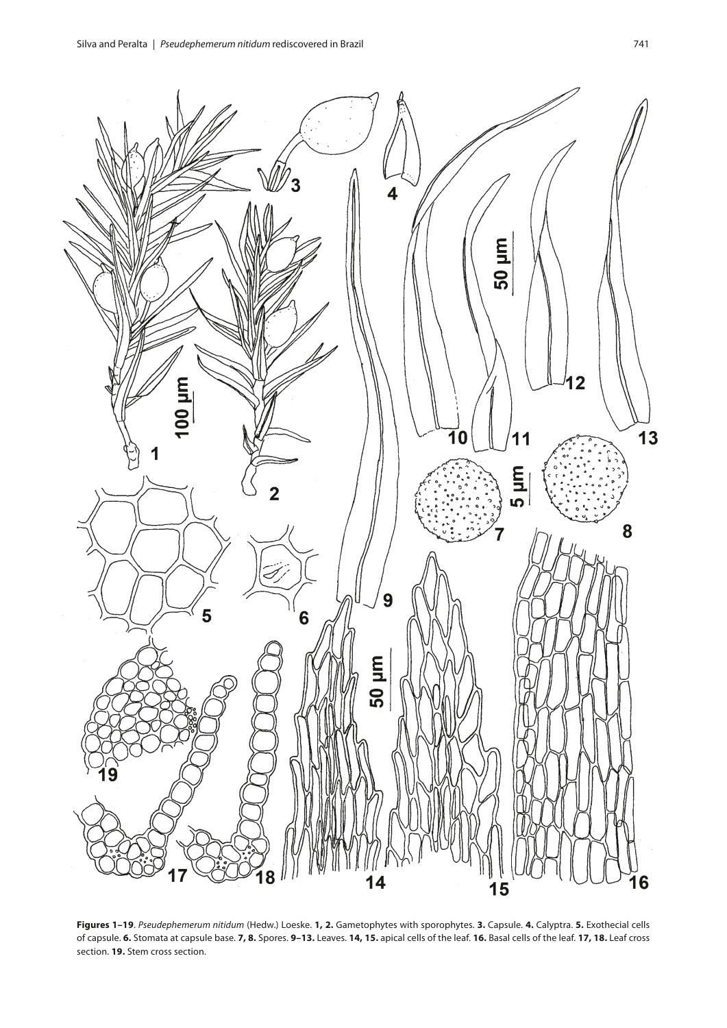

**Figures 1–19**. *Pseudephemerum nitidum* (Hedw.) Loeske. **1, 2.** Gametophytes with sporophytes. **3.** Capsule. **4.** Calyptra. **5.** Exothecial cells of capsule. **6.** Stomata at capsule base. **7, 8.** Spores. **9–13.** Leaves. **14, 15.** apical cells of the leaf. **16.** Basal cells of the leaf. **17, 18.** Leaf cross section. **19.** Stem cross section.